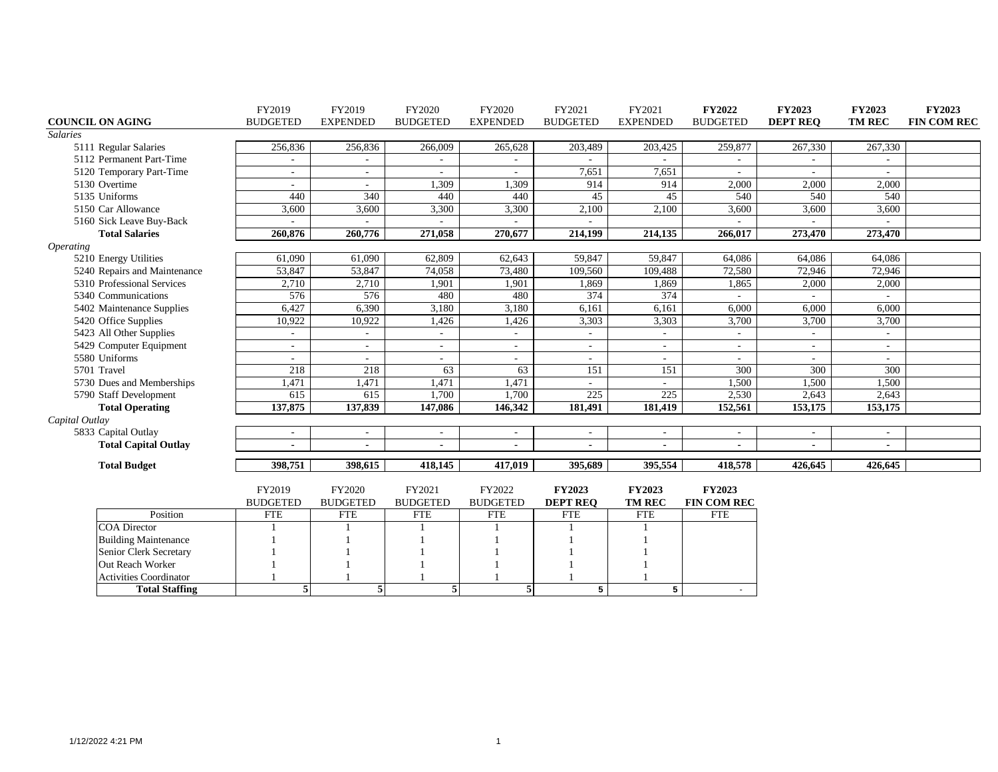|                         |                               | FY2019                    | FY2019                    | FY2020                    | FY2020                    | FY2021                           | FY2021                         | <b>FY2022</b>                | <b>FY2023</b>   | <b>FY2023</b>  | <b>FY2023</b> |
|-------------------------|-------------------------------|---------------------------|---------------------------|---------------------------|---------------------------|----------------------------------|--------------------------------|------------------------------|-----------------|----------------|---------------|
| <b>COUNCIL ON AGING</b> |                               | <b>BUDGETED</b>           | <b>EXPENDED</b>           | <b>BUDGETED</b>           | <b>EXPENDED</b>           | <b>BUDGETED</b>                  | <b>EXPENDED</b>                | <b>BUDGETED</b>              | <b>DEPT REQ</b> | <b>TM REC</b>  | FIN COM REC   |
| <b>Salaries</b>         |                               |                           |                           |                           |                           |                                  |                                |                              |                 |                |               |
|                         | 5111 Regular Salaries         | 256,836                   | 256,836                   | 266,009                   | 265,628                   | 203,489                          | 203,425                        | 259,877                      | 267,330         | 267,330        |               |
|                         | 5112 Permanent Part-Time      |                           |                           |                           |                           |                                  |                                |                              |                 |                |               |
|                         | 5120 Temporary Part-Time      |                           | $\sim$                    |                           |                           | 7,651                            | 7,651                          |                              |                 |                |               |
| 5130 Overtime           |                               |                           |                           | 1,309                     | 1,309                     | 914                              | 914                            | 2,000                        | 2,000           | 2,000          |               |
| 5135 Uniforms           |                               | 440                       | 340                       | 440                       | 440                       | 45                               | 45                             | 540                          | 540             | 540            |               |
|                         | 5150 Car Allowance            | 3,600                     | 3,600                     | 3,300                     | 3,300                     | 2,100                            | 2,100                          | 3,600                        | 3,600           | 3,600          |               |
|                         | 5160 Sick Leave Buy-Back      |                           |                           |                           |                           |                                  |                                |                              |                 |                |               |
|                         | <b>Total Salaries</b>         | 260,876                   | 260,776                   | 271,058                   | 270,677                   | 214,199                          | 214,135                        | 266,017                      | 273,470         | 273,470        |               |
| <i><b>Operating</b></i> |                               |                           |                           |                           |                           |                                  |                                |                              |                 |                |               |
|                         | 5210 Energy Utilities         | 61,090                    | 61,090                    | 62,809                    | 62,643                    | 59,847                           | 59,847                         | 64,086                       | 64,086          | 64,086         |               |
|                         | 5240 Repairs and Maintenance  | 53,847                    | 53,847                    | 74,058                    | 73,480                    | 109,560                          | 109,488                        | 72,580                       | 72,946          | 72,946         |               |
|                         | 5310 Professional Services    | 2,710                     | 2,710                     | 1,901                     | 1,901                     | 1,869                            | 1,869                          | 1,865                        | 2,000           | 2,000          |               |
|                         | 5340 Communications           | 576                       | 576                       | 480                       | 480                       | 374                              | 374                            |                              |                 |                |               |
|                         | 5402 Maintenance Supplies     | 6,427                     | 6,390                     | 3,180                     | 3,180                     | 6,161                            | 6,161                          | 6,000                        | 6,000           | 6,000          |               |
|                         | 5420 Office Supplies          | 10,922                    | 10,922                    | 1,426                     | 1,426                     | 3,303                            | 3,303                          | 3,700                        | 3,700           | 3,700          |               |
|                         | 5423 All Other Supplies       |                           | $\sim$                    |                           | $\sim$                    |                                  |                                | $\sim$                       | $\sim$          | $\sim$         |               |
|                         | 5429 Computer Equipment       |                           | $\sim$                    | $\overline{\phantom{a}}$  | ٠                         |                                  |                                | $\overline{\phantom{a}}$     | ٠               | ÷.             |               |
| 5580 Uniforms           |                               |                           | $\sim$                    | $\overline{\phantom{a}}$  | ٠                         |                                  | $\sim$                         | ٠                            | ÷               | $\sim$         |               |
| 5701 Travel             |                               | 218                       | 218                       | 63                        | 63                        | 151                              | 151                            | 300                          | 300             | 300            |               |
|                         | 5730 Dues and Memberships     | 1,471                     | 1,471                     | 1,471                     | 1,471                     |                                  |                                | 1,500                        | 1,500           | 1,500          |               |
|                         | 5790 Staff Development        | 615                       | 615                       | 1,700                     | 1,700                     | 225                              | $\overline{225}$               | 2,530                        | 2,643           | 2,643          |               |
|                         | <b>Total Operating</b>        | 137,875                   | 137,839                   | 147,086                   | 146,342                   | 181,491                          | 181,419                        | 152,561                      | 153,175         | 153,175        |               |
| Capital Outlay          |                               |                           |                           |                           |                           |                                  |                                |                              |                 |                |               |
|                         | 5833 Capital Outlay           |                           |                           |                           |                           |                                  |                                |                              |                 |                |               |
|                         | <b>Total Capital Outlay</b>   |                           |                           |                           |                           |                                  |                                |                              | $\overline{a}$  | $\overline{a}$ |               |
|                         | <b>Total Budget</b>           | 398,751                   | 398,615                   | 418,145                   | 417,019                   | 395,689                          | 395,554                        | 418,578                      | 426,645         | 426,645        |               |
|                         |                               |                           |                           |                           |                           |                                  |                                |                              |                 |                |               |
|                         |                               | FY2019<br><b>BUDGETED</b> | FY2020<br><b>BUDGETED</b> | FY2021<br><b>BUDGETED</b> | FY2022<br><b>BUDGETED</b> | <b>FY2023</b><br><b>DEPT REQ</b> | <b>FY2023</b><br><b>TM REC</b> | FY2023<br><b>FIN COM REC</b> |                 |                |               |
|                         | Position                      | <b>FTE</b>                | <b>FTE</b>                | <b>FTE</b>                | <b>FTE</b>                | <b>FTE</b>                       | <b>FTE</b>                     | <b>FTE</b>                   |                 |                |               |
|                         | <b>COA</b> Director           |                           |                           |                           |                           |                                  |                                |                              |                 |                |               |
|                         | <b>Building Maintenance</b>   |                           |                           |                           |                           |                                  |                                |                              |                 |                |               |
|                         | Senior Clerk Secretary        |                           |                           |                           |                           |                                  |                                |                              |                 |                |               |
|                         | Out Reach Worker              |                           |                           |                           |                           |                                  |                                |                              |                 |                |               |
|                         | <b>Activities Coordinator</b> |                           |                           |                           |                           |                                  |                                |                              |                 |                |               |
|                         | <b>Total Staffing</b>         | 5                         | 5                         | 5                         | 5                         | 5                                | 5                              | $\sim$                       |                 |                |               |
|                         |                               |                           |                           |                           |                           |                                  |                                |                              |                 |                |               |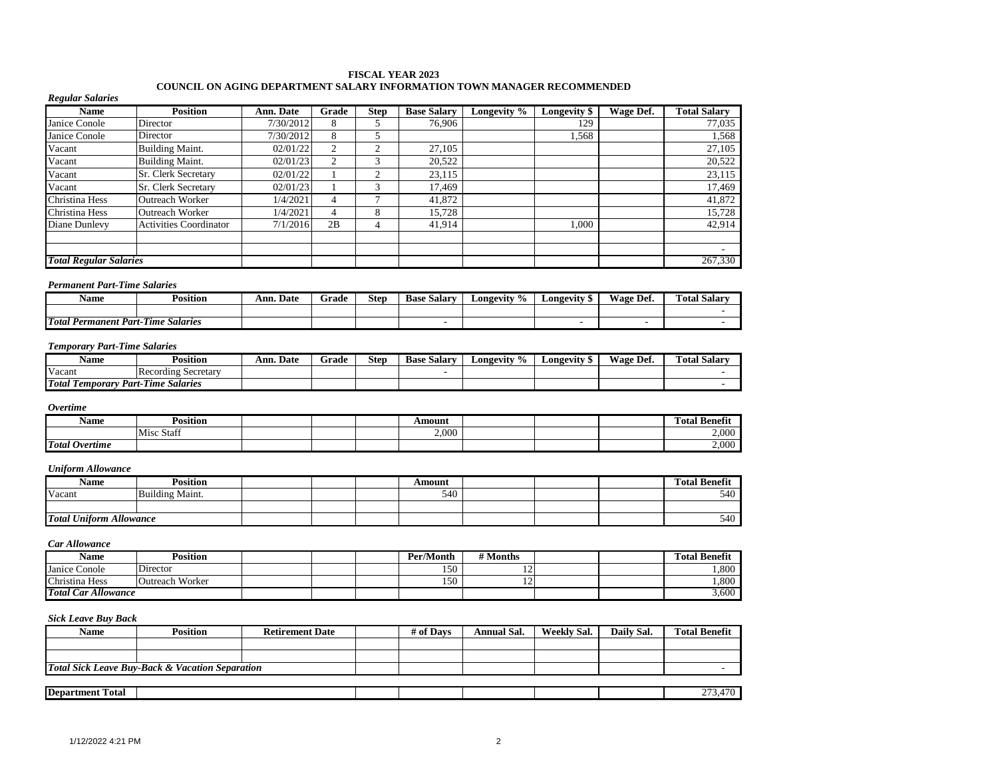#### **FISCAL YEAR 2023 COUNCIL ON AGING DEPARTMENT SALARY INFORMATION TOWN MANAGER RECOMMENDED**

#### *Regular Salaries*

| <b>Name</b>                   | <b>Position</b>               | Ann. Date | Grade | <b>Step</b> | <b>Base Salary</b> | Longevity % | Longevity \$ | Wage Def. | <b>Total Salarv</b>      |
|-------------------------------|-------------------------------|-----------|-------|-------------|--------------------|-------------|--------------|-----------|--------------------------|
| Janice Conole                 | Director                      | 7/30/2012 |       |             | 76,906             |             | 129          |           | 77,035                   |
| Janice Conole                 | Director                      | 7/30/2012 | Ō.    |             |                    |             | 1,568        |           | 1,568                    |
| Vacant                        | Building Maint.               | 02/01/22  |       | ◠           | 27.105             |             |              |           | 27.105                   |
| Vacant                        | <b>Building Maint.</b>        | 02/01/23  |       | 3           | 20,522             |             |              |           | 20,522                   |
| Vacant                        | Sr. Clerk Secretary           | 02/01/22  |       | ◠           | 23,115             |             |              |           | 23,115                   |
| Vacant                        | <b>Sr.</b> Clerk Secretary    | 02/01/23  |       | 3           | 17.469             |             |              |           | 17,469                   |
| Christina Hess                | Outreach Worker               | 1/4/2021  |       |             | 41,872             |             |              |           | 41,872                   |
| Christina Hess                | Outreach Worker               | 1/4/2021  |       | 8           | 15,728             |             |              |           | 15,728                   |
| Diane Dunlevy                 | <b>Activities Coordinator</b> | 7/1/2016  | 2B    | 4           | 41,914             |             | 1.000        |           | 42,914                   |
|                               |                               |           |       |             |                    |             |              |           |                          |
|                               |                               |           |       |             |                    |             |              |           | $\overline{\phantom{a}}$ |
| <b>Total Regular Salaries</b> |                               |           |       |             |                    |             |              |           | 267,330                  |

#### *Permanent Part-Time Salaries*

| Name                     | Position                                        | Ann.<br>. Date | Grade | Step | Base Salarv | Longevity<br>$\mathbf{U}_{L}$ | <b>Longevity</b><br>- 192 | Wage.<br>Def. | $\mathbf{r}$<br><br>Total Salar <sup>,</sup> |
|--------------------------|-------------------------------------------------|----------------|-------|------|-------------|-------------------------------|---------------------------|---------------|----------------------------------------------|
|                          |                                                 |                |       |      |             |                               |                           |               |                                              |
| Total<br>Permanent Part- | -<br><b>CONTACT</b><br><b>Salaries</b><br>-Time |                |       |      |             |                               |                           |               |                                              |

#### *Temporary Part-Time Salaries*

| Name                                  | .<br>Position                               | Date<br>Ann. | Grade | <b>Step</b> | Salary<br>Base | $\frac{1}{2}$<br>Longevity | Longevitv | Wage<br>Def | <b>CONTINUES</b><br><b>Salarv</b><br>`otal |
|---------------------------------------|---------------------------------------------|--------------|-------|-------------|----------------|----------------------------|-----------|-------------|--------------------------------------------|
| Vacant                                | IRecording Secretary                        |              |       |             |                |                            |           |             |                                            |
| <b>Total Te</b><br>Part-<br>Temporary | $\sim$<br>$-$<br><b>Salaries</b><br>.-I ime |              |       |             |                |                            |           |             |                                            |

#### *Overtime*

| Name                  | Position   |  | Amount |  | <b>CONTRACTOR</b><br>Total Benefit |
|-----------------------|------------|--|--------|--|------------------------------------|
|                       | Misc Staft |  | 2,000  |  | 2,000                              |
| <b>Total Overtime</b> |            |  |        |  | 2,000                              |

#### *Uniform Allowance*

| Name                           | <b>Position</b> |  | Amount |  | Total Benefit<br>m |
|--------------------------------|-----------------|--|--------|--|--------------------|
| Vacant                         | Building Maint. |  | 540    |  | 540                |
|                                |                 |  |        |  |                    |
| <b>Total Uniform Allowance</b> |                 |  |        |  | 540                |

#### *Car Allowance*

| <b>Name</b>                | Position        |  | Per/Month  | # Months       |  | <b>Fotal Benefit</b> |
|----------------------------|-----------------|--|------------|----------------|--|----------------------|
| Janice Conole              | Director        |  | 150<br>⊥⊃∪ | $\overline{1}$ |  | 1,800                |
| Christina Hess             | Outreach Worker |  | 150<br>⊥⊃∪ | $\overline{1}$ |  | 1,800                |
| <b>Total Car Allowance</b> |                 |  |            |                |  | 3,600                |

| Name                    | <b>Position</b>                                            | <b>Retirement Date</b> | # of Davs | <b>Annual Sal.</b> | Weekly Sal. | Daily Sal. | <b>Total Benefit</b> |
|-------------------------|------------------------------------------------------------|------------------------|-----------|--------------------|-------------|------------|----------------------|
|                         |                                                            |                        |           |                    |             |            |                      |
|                         |                                                            |                        |           |                    |             |            |                      |
|                         | <b>Total Sick Leave Buy-Back &amp; Vacation Separation</b> |                        |           |                    |             |            |                      |
|                         |                                                            |                        |           |                    |             |            |                      |
| <b>Department Total</b> |                                                            |                        |           |                    |             |            | 273,470              |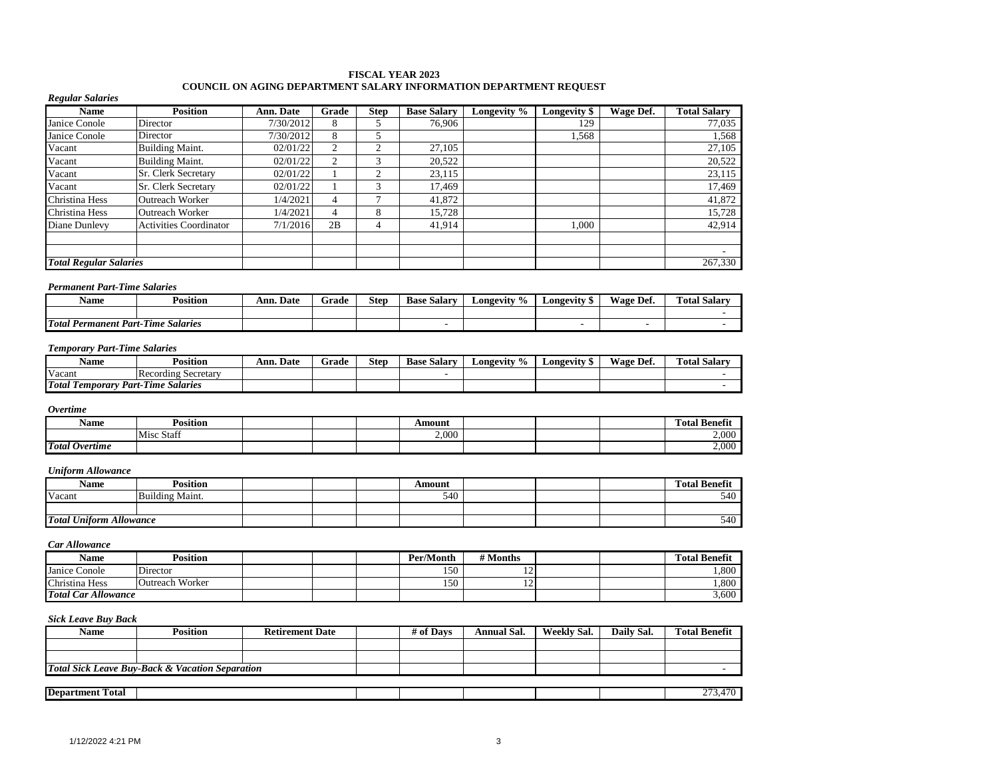#### **FISCAL YEAR 2023 COUNCIL ON AGING DEPARTMENT SALARY INFORMATION DEPARTMENT REQUEST**

#### *Regular Salaries*

| <b>Name</b>                   | <b>Position</b>               | Ann. Date | Grade  | <b>Step</b> | <b>Base Salary</b> | Longevity % | Longevity \$ | Wage Def. | <b>Total Salary</b> |
|-------------------------------|-------------------------------|-----------|--------|-------------|--------------------|-------------|--------------|-----------|---------------------|
| Janice Conole                 | Director                      | 7/30/2012 | 8      |             | 76,906             |             | 129          |           | 77,035              |
| Janice Conole                 | Director                      | 7/30/2012 | 8      |             |                    |             | 1,568        |           | 1,568               |
| Vacant                        | <b>Building Maint.</b>        | 02/01/22  |        | ◠           | 27,105             |             |              |           | 27,105              |
| Vacant                        | <b>Building Maint.</b>        | 02/01/22  | $\sim$ | 3           | 20,522             |             |              |           | 20,522              |
| Vacant                        | Sr. Clerk Secretary           | 02/01/22  |        | ◠           | 23,115             |             |              |           | 23,115              |
| Vacant                        | Sr. Clerk Secretary           | 02/01/22  |        | 3           | 17.469             |             |              |           | 17,469              |
| Christina Hess                | <b>Outreach Worker</b>        | 1/4/2021  |        |             | 41,872             |             |              |           | 41,872              |
| Christina Hess                | <b>Outreach Worker</b>        | 1/4/2021  |        | 8           | 15,728             |             |              |           | 15,728              |
| Diane Dunlevy                 | <b>Activities Coordinator</b> | 7/1/2016  | 2B     | 4           | 41,914             |             | 1,000        |           | 42,914              |
|                               |                               |           |        |             |                    |             |              |           |                     |
|                               |                               |           |        |             |                    |             |              |           | ۰                   |
| <b>Total Regular Salaries</b> |                               |           |        |             |                    |             |              |           | 267,330             |

#### *Permanent Part-Time Salaries*

| $\blacksquare$<br>Name             | .<br>Position                   | $\sim$<br>Ann.<br>. Date | Grade | Step | -<br><b>Base Salary</b> | $\frac{6}{9}$<br><b>Longevity</b> | Longevity | Wage Def. | <b>Total Salary</b> |
|------------------------------------|---------------------------------|--------------------------|-------|------|-------------------------|-----------------------------------|-----------|-----------|---------------------|
|                                    |                                 |                          |       |      |                         |                                   |           |           |                     |
| <b>Total</b><br>Permanent<br>Part- | ---<br><b>Salaries</b><br>-Time |                          |       |      |                         |                                   |           |           |                     |

#### *Temporary Part-Time Salaries*

| Name                           | <b>Position</b>                                        | Ann.<br>Date | -<br>Grade | <b>Step</b> | <b>Base</b><br>Salary | $\text{\textsterling}$ ongevity $\%$ | Longevity ' | Def.<br>Wage | m.<br>Total Salar |
|--------------------------------|--------------------------------------------------------|--------------|------------|-------------|-----------------------|--------------------------------------|-------------|--------------|-------------------|
| Vacant                         | $\rightarrow$<br><b>Recording Secretary</b>            |              |            |             |                       |                                      |             |              |                   |
| <b>Total To</b><br>. Temporary | $\sim$ $\sim$<br>run s<br><b>Salaries</b><br>Part-Time |              |            |             |                       |                                      |             |              |                   |

#### *Overtime*

| Name                       | Position      |  | Amount |  | $\mathbf{a}$<br>--<br>. .<br>' Benefit<br>Fotal |
|----------------------------|---------------|--|--------|--|-------------------------------------------------|
|                            | Misc<br>Staff |  | 2,000  |  | 000<br>2.000                                    |
| <b>Total</b><br>l Overtume |               |  |        |  | 0.00<br>Z.UUU                                   |

#### *Uniform Allowance*

| Name                           | $\cdot \cdot$<br>Position            |  | Amount |  | <b><i><u>Total Benefit</u></i></b> |
|--------------------------------|--------------------------------------|--|--------|--|------------------------------------|
| Vacant                         | $\cdots$<br><br>Ð<br>Building Maint. |  | 540    |  | 540                                |
|                                |                                      |  |        |  |                                    |
| <b>Total Uniform Allowance</b> |                                      |  |        |  | 540                                |

#### *Car Allowance*

| Name                       | Position        |  | Per/Month | # Months                 |  | <b>Total Benefit</b> |
|----------------------------|-----------------|--|-----------|--------------------------|--|----------------------|
| Janice Conole              | Director        |  | 150       | $\overline{\phantom{0}}$ |  | .800                 |
| Christina Hess             | Outreach Worker |  | 150       | $\overline{\phantom{0}}$ |  | .800                 |
| <b>Total Car Allowance</b> |                 |  |           |                          |  | 3,600                |

| Name                                                       | <b>Position</b> | <b>Retirement Date</b> |  | # of Davs | Annual Sal. | Weekly Sal. | Daily Sal. | <b>Total Benefit</b> |
|------------------------------------------------------------|-----------------|------------------------|--|-----------|-------------|-------------|------------|----------------------|
|                                                            |                 |                        |  |           |             |             |            |                      |
|                                                            |                 |                        |  |           |             |             |            |                      |
| <b>Total Sick Leave Buy-Back &amp; Vacation Separation</b> |                 |                        |  |           |             |             |            |                      |
|                                                            |                 |                        |  |           |             |             |            |                      |
| <b>Department Total</b>                                    |                 |                        |  |           |             |             |            | 273.470              |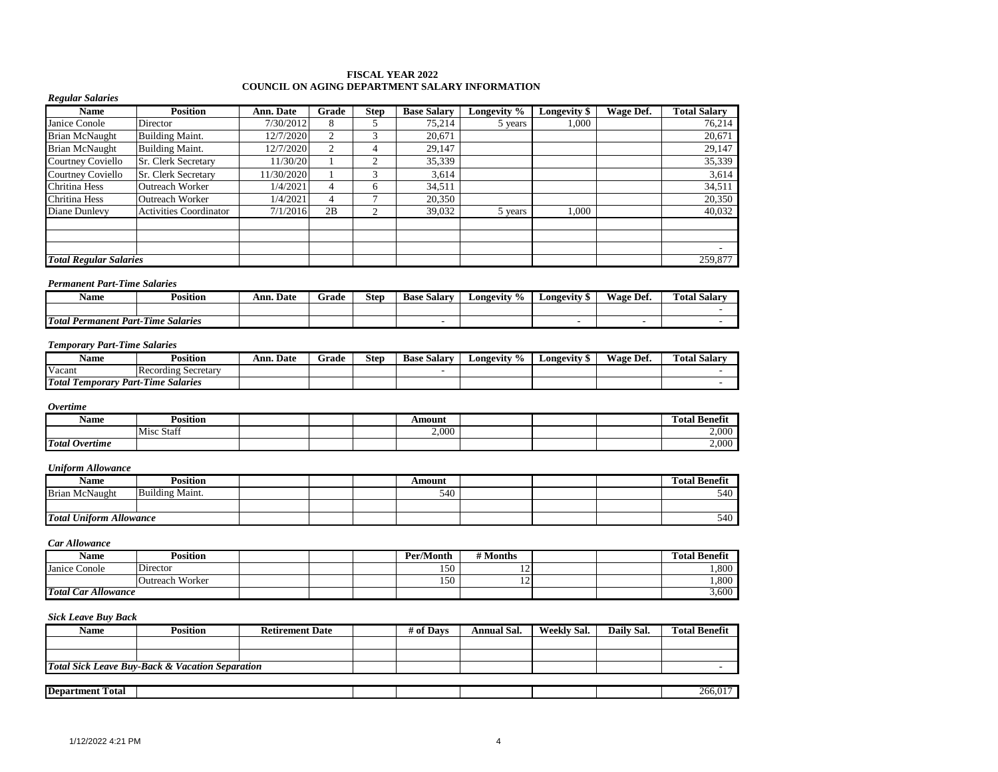#### **FISCAL YEAR 2022 COUNCIL ON AGING DEPARTMENT SALARY INFORMATION**

#### *Regular Salaries*

| <b>Name</b>                   | <b>Position</b>               | Ann. Date  | Grade     | <b>Step</b> | <b>Base Salary</b> | Longevity % | <b>Longevity</b> \$ | Wage Def. | <b>Total Salary</b> |
|-------------------------------|-------------------------------|------------|-----------|-------------|--------------------|-------------|---------------------|-----------|---------------------|
| Janice Conole                 | Director                      | 7/30/2012  | 8         |             | 75,214             | 5 years     | 1,000               |           | 76,214              |
| Brian McNaught                | <b>Building Maint.</b>        | 12/7/2020  | $\bigcap$ |             | 20,671             |             |                     |           | 20,671              |
| <b>Brian McNaught</b>         | <b>Building Maint.</b>        | 12/7/2020  | $\bigcap$ |             | 29,147             |             |                     |           | 29,147              |
| Courtney Coviello             | <b>Sr. Clerk Secretary</b>    | 11/30/20   |           |             | 35,339             |             |                     |           | 35,339              |
| <b>Courtney Coviello</b>      | <b>Sr.</b> Clerk Secretary    | 11/30/2020 |           |             | 3,614              |             |                     |           | 3,614               |
| Chritina Hess                 | Outreach Worker               | 1/4/2021   | 4         | 6           | 34,511             |             |                     |           | 34,511              |
| <b>Chritina Hess</b>          | Outreach Worker               | 1/4/2021   | 4         |             | 20,350             |             |                     |           | 20,350              |
| Diane Dunlevy                 | <b>Activities Coordinator</b> | 7/1/2016   | 2B        |             | 39,032             | 5 years     | 1.000               |           | 40,032              |
|                               |                               |            |           |             |                    |             |                     |           |                     |
|                               |                               |            |           |             |                    |             |                     |           |                     |
|                               |                               |            |           |             |                    |             |                     |           | ۰                   |
| <b>Total Regular Salaries</b> |                               |            |           |             |                    |             |                     |           | 259,877             |

#### *Permanent Part-Time Salaries*

| Name                         | Position                                   | Date<br>Ann. | Grade | Step | <b>Base Salary</b> | Longevity<br>$\frac{9}{6}$ | Longevity | Wage.<br>≅Det. | <b>Total Salary</b> |
|------------------------------|--------------------------------------------|--------------|-------|------|--------------------|----------------------------|-----------|----------------|---------------------|
|                              |                                            |              |       |      |                    |                            |           |                |                     |
| Total.<br>Permanent<br>Part- | $\sim$<br>$-$<br><b>Salaries</b><br>.-Time |              |       |      |                    |                            |           |                |                     |

#### *Temporary Part-Time Salaries*

| <b>Name</b>               | Position                            | Ann.<br>. Date | Grade | Step | Base<br>. Salarv | ∟ongevity % | ∠ongevitv | Wage Dei. | <b>Total Salarv</b><br><b>CONTINUES</b> |
|---------------------------|-------------------------------------|----------------|-------|------|------------------|-------------|-----------|-----------|-----------------------------------------|
| Vacant                    | <b>IRecording Secretary</b>         |                |       |      |                  |             |           |           |                                         |
| <b>Total</b><br>remporary | <b>Part-Time</b><br><b>Salaries</b> |                |       |      |                  |             |           |           |                                         |

#### *Overtime*

| Name                                   | Position      |  | Amount |  | $\mathbf{a}$<br><b>Total Benefix</b> |
|----------------------------------------|---------------|--|--------|--|--------------------------------------|
|                                        | Misc<br>Staff |  | 2.000  |  | 2,000                                |
| <b>Total</b><br><i><b>Overtime</b></i> |               |  |        |  | 2.000                                |

### *Uniform Allowance*

| <b>Name</b>                    | <b>Position</b> |  | Amount |  | <b>Total Benefi</b> |
|--------------------------------|-----------------|--|--------|--|---------------------|
| <b>Brian McNaught</b>          | Building Maint. |  | 540    |  | 540                 |
|                                |                 |  |        |  |                     |
| <b>Total Uniform Allowance</b> |                 |  |        |  | 540                 |

#### *Car Allowance*

| Name                       | <b>Position</b>        |  | Per/Month | <b># Months</b> |  | <b>Total Benefit</b> |
|----------------------------|------------------------|--|-----------|-----------------|--|----------------------|
| Janice Conole              | Director               |  | 150       | --              |  | 1,800                |
|                            | <b>Outreach Worker</b> |  | 150       | --              |  | .800                 |
| <b>Total Car Allowance</b> |                        |  |           |                 |  | 3,600                |

| <b>Name</b>                                                | <b>Position</b> | <b>Retirement Date</b> |  | # of Davs | Annual Sal. | Weekly Sal. | Daily Sal. | <b>Total Benefit</b> |
|------------------------------------------------------------|-----------------|------------------------|--|-----------|-------------|-------------|------------|----------------------|
|                                                            |                 |                        |  |           |             |             |            |                      |
|                                                            |                 |                        |  |           |             |             |            |                      |
| <b>Total Sick Leave Buy-Back &amp; Vacation Separation</b> |                 |                        |  |           |             |             |            |                      |
|                                                            |                 |                        |  |           |             |             |            |                      |
| <b>Department Total</b>                                    |                 |                        |  |           |             |             |            | 266,017              |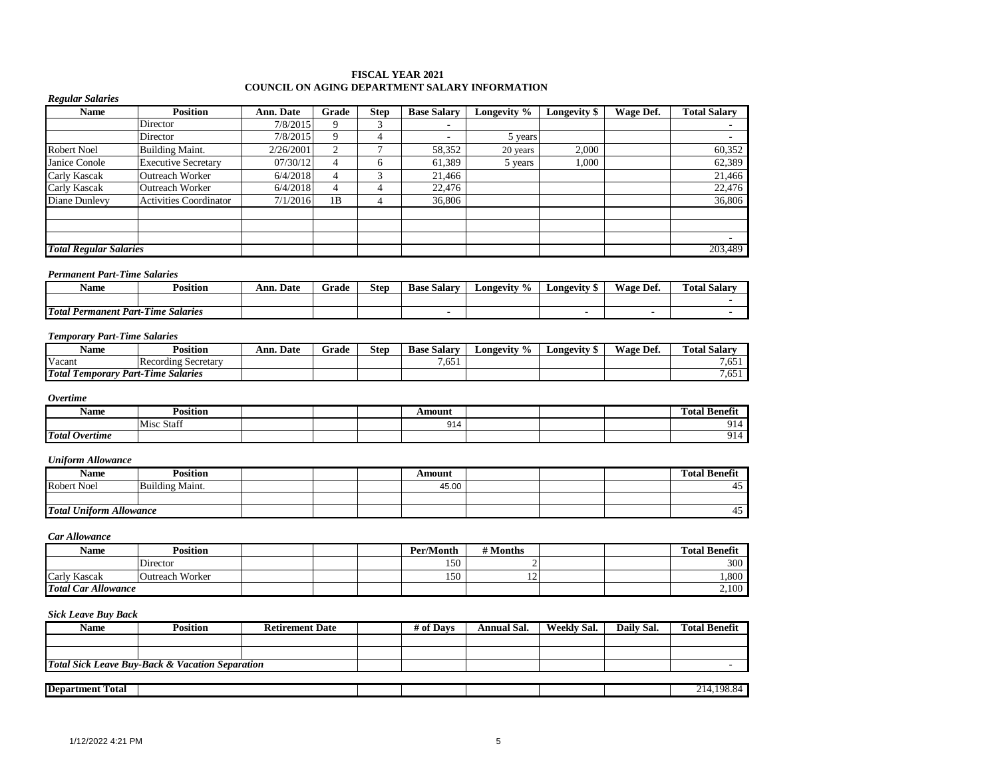#### **FISCAL YEAR 2021 COUNCIL ON AGING DEPARTMENT SALARY INFORMATION**

#### *Regular Salaries*

| <b>Name</b>                   | <b>Position</b>               | Ann. Date | Grade | <b>Step</b>  | <b>Base Salary</b>       | Longevity % | Longevity \$ | Wage Def. | <b>Total Salary</b> |
|-------------------------------|-------------------------------|-----------|-------|--------------|--------------------------|-------------|--------------|-----------|---------------------|
|                               | Director                      | 7/8/2015  |       | ⌒            | $\overline{\phantom{a}}$ |             |              |           |                     |
|                               | Director                      | 7/8/2015  |       | 4            |                          | 5 years     |              |           |                     |
| <b>Robert Noel</b>            | <b>Building Maint.</b>        | 2/26/2001 | ◠     | ∽            | 58,352                   | 20 years    | 2.000        |           | 60,352              |
| Janice Conole                 | <b>Executive Secretary</b>    | 07/30/12  | 4     | <sub>(</sub> | 61,389                   | 5 years     | 1.000        |           | 62,389              |
| Carly Kascak                  | <b>Outreach Worker</b>        | 6/4/2018  | 4     | 3            | 21,466                   |             |              |           | 21,466              |
| Carly Kascak                  | <b>Outreach Worker</b>        | 6/4/2018  | 4     | 4            | 22,476                   |             |              |           | 22,476              |
| Diane Dunlevy                 | <b>Activities Coordinator</b> | 7/1/2016  | 1B    | 4            | 36,806                   |             |              |           | 36,806              |
|                               |                               |           |       |              |                          |             |              |           |                     |
|                               |                               |           |       |              |                          |             |              |           |                     |
|                               |                               |           |       |              |                          |             |              |           |                     |
| <b>Total Regular Salaries</b> |                               |           |       |              |                          |             |              |           | 203,489             |

#### *Permanent Part-Time Salaries*

| Name                        | Position             | Ann. Date | Frade | <b>Step</b> | $\sim$<br>`Salarv<br>Base | $\frac{6}{10}$<br>Longevity | Longevity | Def.<br>Wage | $\sim$<br><b>Total Salarv</b> |
|-----------------------------|----------------------|-----------|-------|-------------|---------------------------|-----------------------------|-----------|--------------|-------------------------------|
|                             |                      |           |       |             |                           |                             |           |              |                               |
| Total<br>Part-<br>Permanent | <br>Salarıes<br>Time |           |       |             |                           |                             |           |              |                               |

### *Temporary Part-Time Salaries*

| Name                                                                      | Position                   | Ann.<br><b>Date</b> | Grade | Step | Base<br>. Salary | $\frac{0}{0}$<br>Longevity | ∟ongevitv | Wage.<br>Def. | m<br>. Salar<br>Fotal   |
|---------------------------------------------------------------------------|----------------------------|---------------------|-------|------|------------------|----------------------------|-----------|---------------|-------------------------|
| Vacant                                                                    | <b>Recording Secretary</b> |                     |       |      | 7,651            |                            |           |               | - <i>-</i> - 1<br>1 CO. |
| <b>Total Te</b><br>$\sim$<br><b>Salaries</b><br>Part<br>Time<br>remporary |                            |                     |       |      |                  |                            |           |               | $  -$<br>1 CO.          |

#### *Overtime*

| Name                            | Position                            |  | Amount      |  | <b>COMPART</b><br>Total<br>Benefit |
|---------------------------------|-------------------------------------|--|-------------|--|------------------------------------|
|                                 | $\tilde{\phantom{a}}$<br>Misc Staff |  | $Q1_A$<br>. |  | 914                                |
| <b>Total</b><br><b>Overtime</b> |                                     |  |             |  | . .<br>914                         |

### *Uniform Allowance*

| $\mathbf{v}$<br><b>Name</b>    | <b>Position</b>        |  | Amount |  | <b>Total Benefit</b> |
|--------------------------------|------------------------|--|--------|--|----------------------|
| <b>Robert Noel</b>             | <b>Building Maint.</b> |  | 45.00  |  | ⊶.<br>τ.,            |
|                                |                        |  |        |  |                      |
| <b>Total Uniform Allowance</b> |                        |  |        |  | 45.                  |

#### *Car Allowance*

| Name                       | <b>Position</b> |  | Per/Month | # Months |  | <b>Total Benefit</b> |
|----------------------------|-----------------|--|-----------|----------|--|----------------------|
|                            | Director        |  | 150       |          |  | 300                  |
| Carly Kascak               | Outreach Worker |  | 150       | ∸        |  | 1,800                |
| <b>Total Car Allowance</b> |                 |  |           |          |  | 2,100                |

| <b>Name</b>             | <b>Position</b>                                            | <b>Retirement Date</b> | # of Days | Annual Sal. | Weekly Sal. | Daily Sal. | <b>Total Benefit</b> |
|-------------------------|------------------------------------------------------------|------------------------|-----------|-------------|-------------|------------|----------------------|
|                         |                                                            |                        |           |             |             |            |                      |
|                         |                                                            |                        |           |             |             |            |                      |
|                         | <b>Total Sick Leave Buy-Back &amp; Vacation Separation</b> |                        |           |             |             |            |                      |
|                         |                                                            |                        |           |             |             |            |                      |
| <b>Department Total</b> |                                                            |                        |           |             |             |            | 214.198.84           |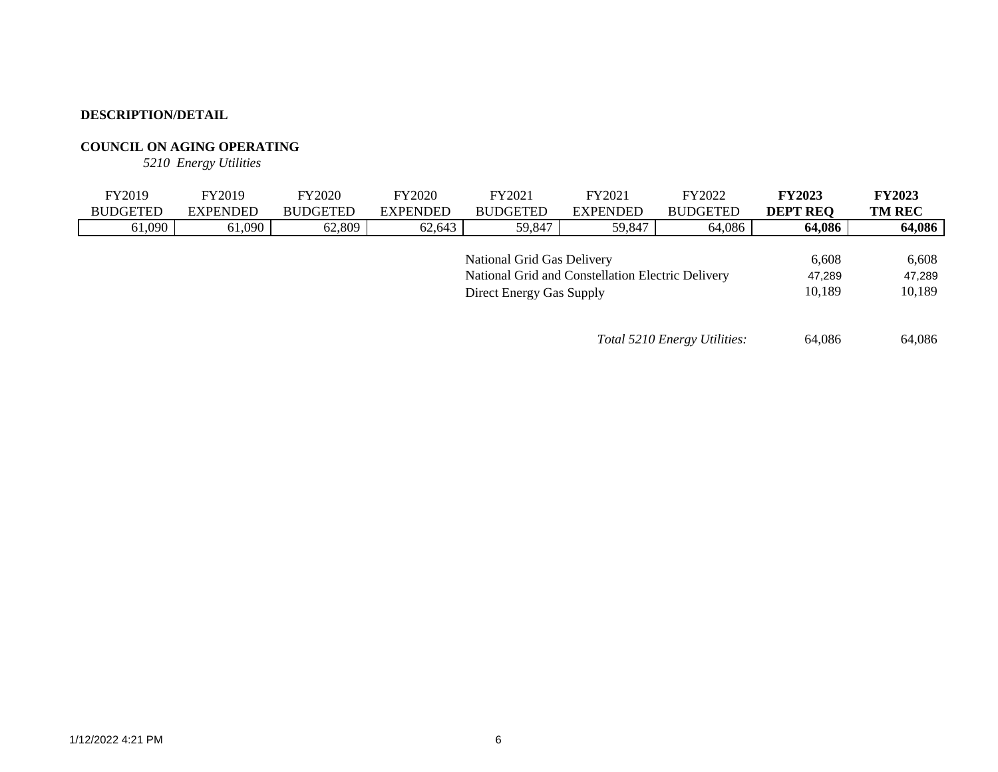### **COUNCIL ON AGING OPERATING**

*5210 Energy Utilities*

| FY2019          | FY2019          | <b>FY2020</b>   | <b>FY2020</b>   | FY2021                                            | FY2021          | FY2022                       | <b>FY2023</b>   | <b>FY2023</b> |
|-----------------|-----------------|-----------------|-----------------|---------------------------------------------------|-----------------|------------------------------|-----------------|---------------|
| <b>BUDGETED</b> | <b>EXPENDED</b> | <b>BUDGETED</b> | <b>EXPENDED</b> | <b>BUDGETED</b>                                   | <b>EXPENDED</b> | <b>BUDGETED</b>              | <b>DEPT REQ</b> | <b>TM REC</b> |
| 61,090          | 61,090          | 62,809          | 62,643          | 59,847                                            | 59,847          | 64,086                       | 64,086          | 64,086        |
|                 |                 |                 |                 |                                                   |                 |                              |                 |               |
|                 |                 |                 |                 | National Grid Gas Delivery                        |                 |                              | 6,608           | 6,608         |
|                 |                 |                 |                 | National Grid and Constellation Electric Delivery |                 |                              | 47.289          | 47,289        |
|                 |                 |                 |                 | Direct Energy Gas Supply                          |                 |                              | 10.189          | 10,189        |
|                 |                 |                 |                 |                                                   |                 |                              |                 |               |
|                 |                 |                 |                 |                                                   |                 |                              |                 |               |
|                 |                 |                 |                 |                                                   |                 | Total 5210 Energy Utilities: | 64.086          | 64,086        |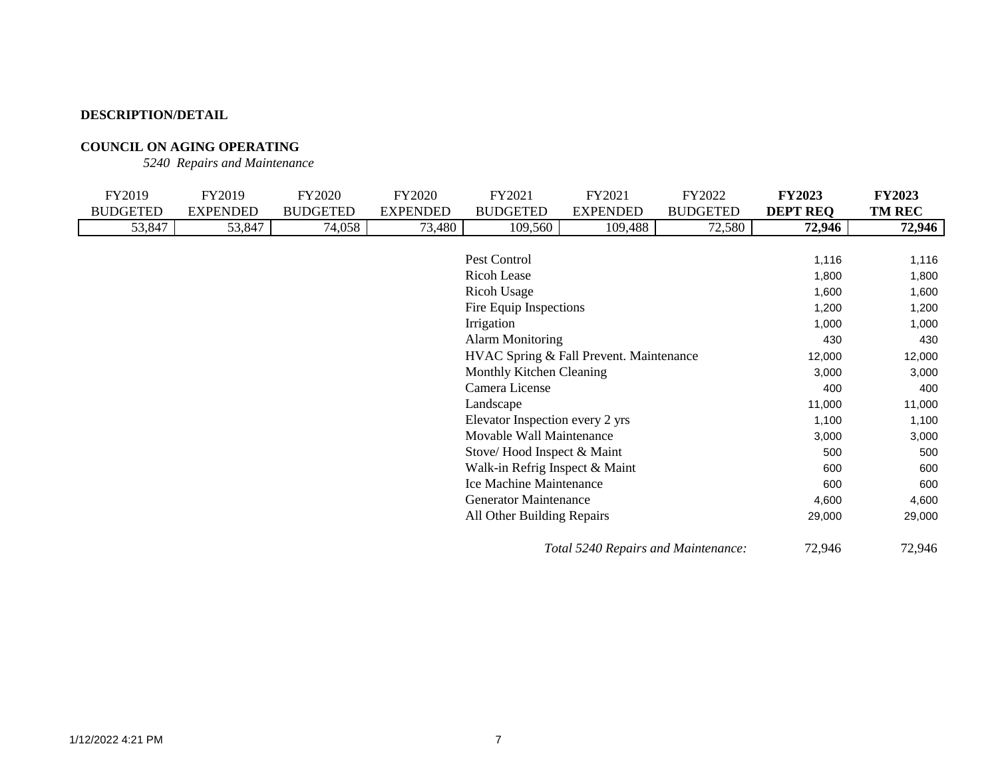## **COUNCIL ON AGING OPERATING**

*5240 Repairs and Maintenance*

| FY2019          | FY2019          | FY2020          | FY2020          | FY2021                                  | FY2021                              | FY2022          | <b>FY2023</b>   | <b>FY2023</b> |
|-----------------|-----------------|-----------------|-----------------|-----------------------------------------|-------------------------------------|-----------------|-----------------|---------------|
| <b>BUDGETED</b> | <b>EXPENDED</b> | <b>BUDGETED</b> | <b>EXPENDED</b> | <b>BUDGETED</b>                         | <b>EXPENDED</b>                     | <b>BUDGETED</b> | <b>DEPT REQ</b> | <b>TM REC</b> |
| 53,847          | 53,847          | 74,058          | 73,480          | 109,560                                 | 109,488                             | 72,580          | 72,946          | 72,946        |
|                 |                 |                 |                 |                                         |                                     |                 |                 |               |
|                 |                 |                 |                 | Pest Control                            |                                     |                 | 1,116           | 1,116         |
|                 |                 |                 |                 | <b>Ricoh Lease</b>                      |                                     |                 | 1,800           | 1,800         |
|                 |                 |                 |                 | Ricoh Usage                             |                                     |                 | 1,600           | 1,600         |
|                 |                 |                 |                 | Fire Equip Inspections                  |                                     |                 | 1,200           | 1,200         |
|                 |                 |                 |                 | Irrigation                              |                                     |                 | 1,000           | 1,000         |
|                 |                 |                 |                 | <b>Alarm Monitoring</b>                 |                                     |                 | 430             | 430           |
|                 |                 |                 |                 | HVAC Spring & Fall Prevent. Maintenance |                                     |                 | 12,000          | 12,000        |
|                 |                 |                 |                 | Monthly Kitchen Cleaning                |                                     |                 | 3,000           | 3,000         |
|                 |                 |                 |                 | Camera License                          |                                     |                 | 400             | 400           |
|                 |                 |                 |                 | Landscape                               |                                     |                 | 11,000          | 11,000        |
|                 |                 |                 |                 | Elevator Inspection every 2 yrs         |                                     |                 | 1,100           | 1,100         |
|                 |                 |                 |                 | Movable Wall Maintenance                |                                     |                 | 3,000           | 3,000         |
|                 |                 |                 |                 | Stove/Hood Inspect & Maint              |                                     |                 | 500             | 500           |
|                 |                 |                 |                 | Walk-in Refrig Inspect & Maint          |                                     |                 | 600             | 600           |
|                 |                 |                 |                 | Ice Machine Maintenance                 |                                     |                 | 600             | 600           |
|                 |                 |                 |                 | <b>Generator Maintenance</b>            |                                     |                 | 4,600           | 4,600         |
|                 |                 |                 |                 | All Other Building Repairs              |                                     |                 | 29,000          | 29,000        |
|                 |                 |                 |                 |                                         | Total 5240 Repairs and Maintenance: |                 | 72,946          | 72,946        |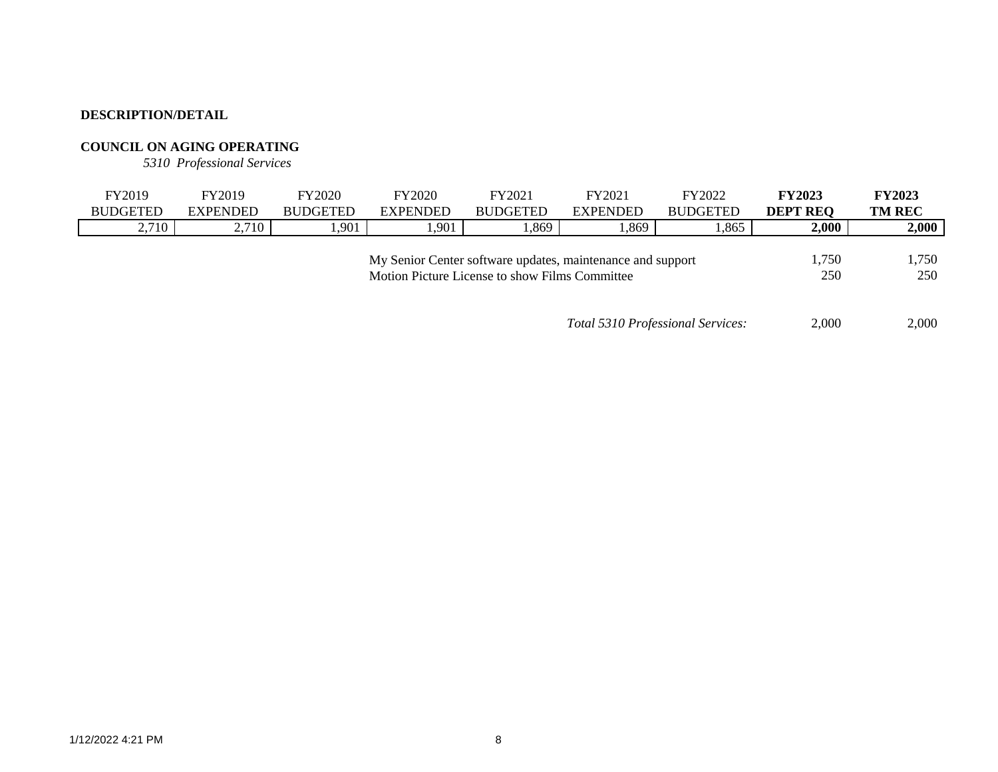## **COUNCIL ON AGING OPERATING**

*5310 Professional Services*

|                                                            | FY2019          | FY2019          | <b>FY2020</b>   | <b>FY2020</b>   | FY2021          | FY2021          | FY2022          | <b>FY2023</b>   | <b>FY2023</b> |
|------------------------------------------------------------|-----------------|-----------------|-----------------|-----------------|-----------------|-----------------|-----------------|-----------------|---------------|
|                                                            | <b>BUDGETED</b> | <b>EXPENDED</b> | <b>BUDGETED</b> | <b>EXPENDED</b> | <b>BUDGETED</b> | <b>EXPENDED</b> | <b>BUDGETED</b> | <b>DEPT REO</b> | <b>TM REC</b> |
|                                                            | 2,710           | 2,710           | .901            | .901            | .869            | .369            | .865            | 2,000           | 2,000         |
|                                                            |                 |                 |                 |                 |                 |                 |                 |                 |               |
| My Senior Center software updates, maintenance and support |                 |                 |                 |                 |                 |                 |                 | 1,750           | ,750          |
| Motion Picture License to show Films Committee             |                 |                 |                 |                 |                 |                 | 250             | 250             |               |

*Total 5310 Professional Services:* 2,000 2,000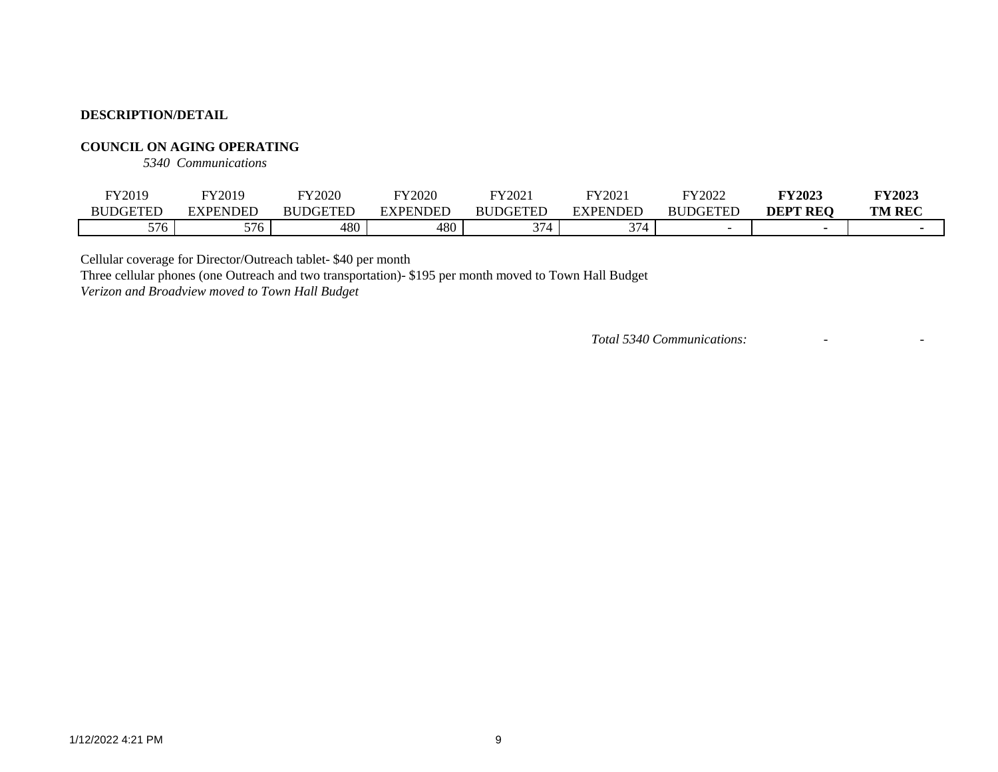### **COUNCIL ON AGING OPERATING**

*5340 Communications*

| FY2019          | FY2019          | <b>FY2020</b>   | FY2020          | FY2021               | FY202          | FY2022          | <b>FY2023</b> | <b>FY2023</b> |
|-----------------|-----------------|-----------------|-----------------|----------------------|----------------|-----------------|---------------|---------------|
| <b>BUDGETED</b> | <b>EXPENDED</b> | <b>BUDGETED</b> | <b>EXPENDED</b> | <b>BUDGETED</b>      | EXPENDED       | <b>BUDGETED</b> | ' REO<br>DEPT | <b>TM REC</b> |
| 576             | $  -$<br>JI U   | 480             | 480             | $\sim$<br>17 L<br>ັ' | $\gamma$<br>ັ' |                 |               |               |

Cellular coverage for Director/Outreach tablet- \$40 per month

Three cellular phones (one Outreach and two transportation)- \$195 per month moved to Town Hall Budget

*Verizon and Broadview moved to Town Hall Budget*

*Total 5340 Communications:* - -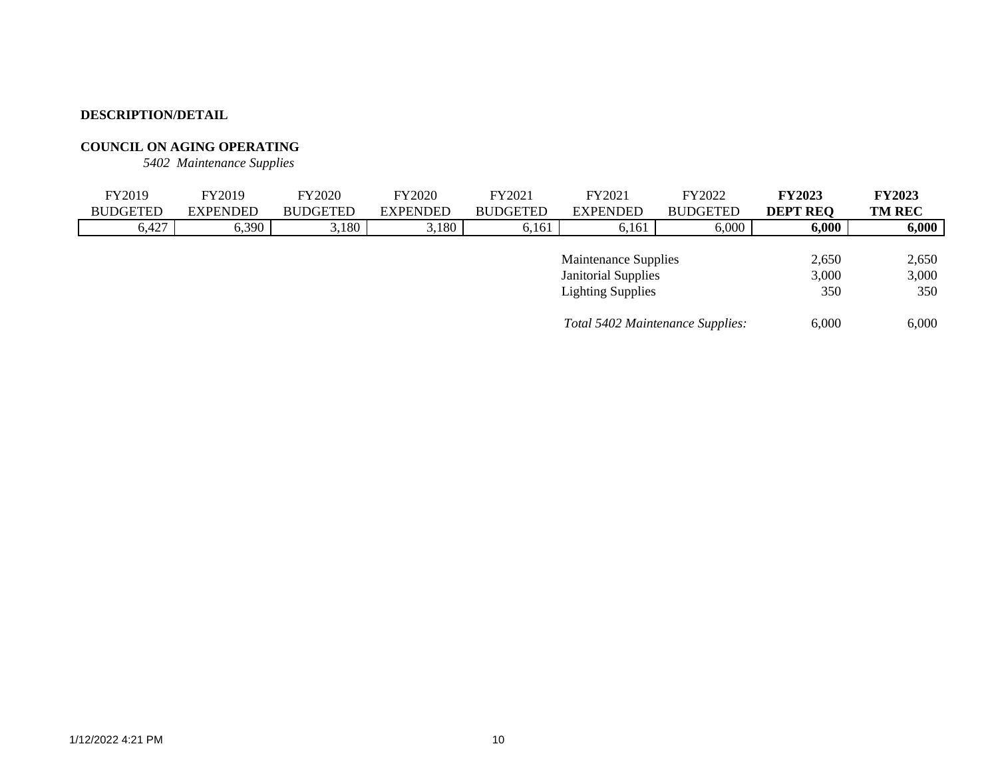## **COUNCIL ON AGING OPERATING**

*5402 Maintenance Supplies*

| FY2019          | FY2019          | <b>FY2020</b>   | <b>FY2020</b>   | FY2021          | FY2021                           | FY2022          | <b>FY2023</b>   | <b>FY2023</b> |
|-----------------|-----------------|-----------------|-----------------|-----------------|----------------------------------|-----------------|-----------------|---------------|
| <b>BUDGETED</b> | <b>EXPENDED</b> | <b>BUDGETED</b> | <b>EXPENDED</b> | <b>BUDGETED</b> | <b>EXPENDED</b>                  | <b>BUDGETED</b> | <b>DEPT REQ</b> | <b>TM REC</b> |
| 6,427           | 6,390           | 3,180           | 3,180           | 6,161           | 6,161                            | 6,000           | 6,000           | 6,000         |
|                 |                 |                 |                 |                 |                                  |                 |                 |               |
|                 |                 |                 |                 |                 | <b>Maintenance Supplies</b>      |                 | 2,650           | 2,650         |
|                 |                 |                 |                 |                 | <b>Janitorial Supplies</b>       |                 | 3,000           | 3,000         |
|                 |                 |                 |                 |                 | <b>Lighting Supplies</b>         |                 | 350             | 350           |
|                 |                 |                 |                 |                 |                                  |                 |                 |               |
|                 |                 |                 |                 |                 | Total 5402 Maintenance Supplies: |                 | 6.000           | 6.000         |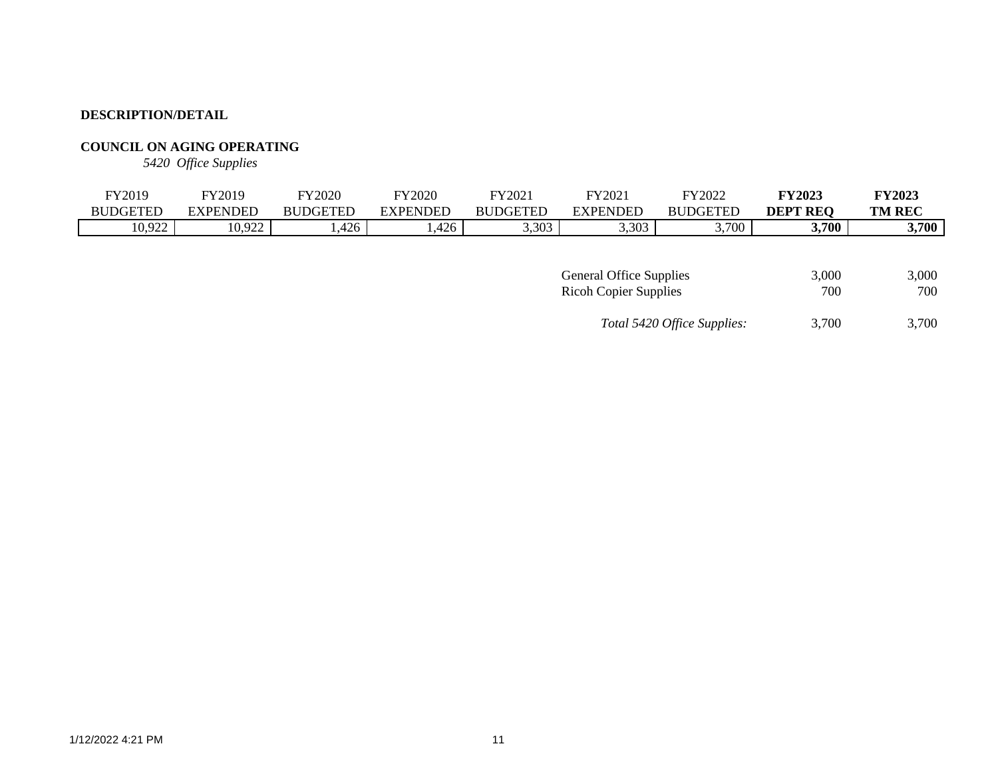## **COUNCIL ON AGING OPERATING**

*5420 Office Supplies*

| <b>REQ</b><br><b>BUDGETED</b><br><b>DEPT</b><br><b>BUDGETED</b><br>EXPENDED<br><b>BUDGETED</b><br>EXPENDED<br><b>XPENDED</b><br><b>BUDGETED</b><br>10,922<br>3,700<br>10,922 | FY2019 | FY2019 | <b>FY2020</b> | FY2020 | TY2021 | FY202 | FY2022 | <b>FY2023</b> | <b>FY2023</b> |
|------------------------------------------------------------------------------------------------------------------------------------------------------------------------------|--------|--------|---------------|--------|--------|-------|--------|---------------|---------------|
|                                                                                                                                                                              |        |        |               |        |        |       |        |               | <b>TM REC</b> |
|                                                                                                                                                                              |        |        | ,426          | ,426   | 3,303  | 3,303 | 3,700  |               | 3,700         |

| <b>General Office Supplies</b> | 3.000 | 3.000 |
|--------------------------------|-------|-------|
| <b>Ricoh Copier Supplies</b>   | 700   | 700   |
| Total 5420 Office Supplies:    | 3.700 | 3.700 |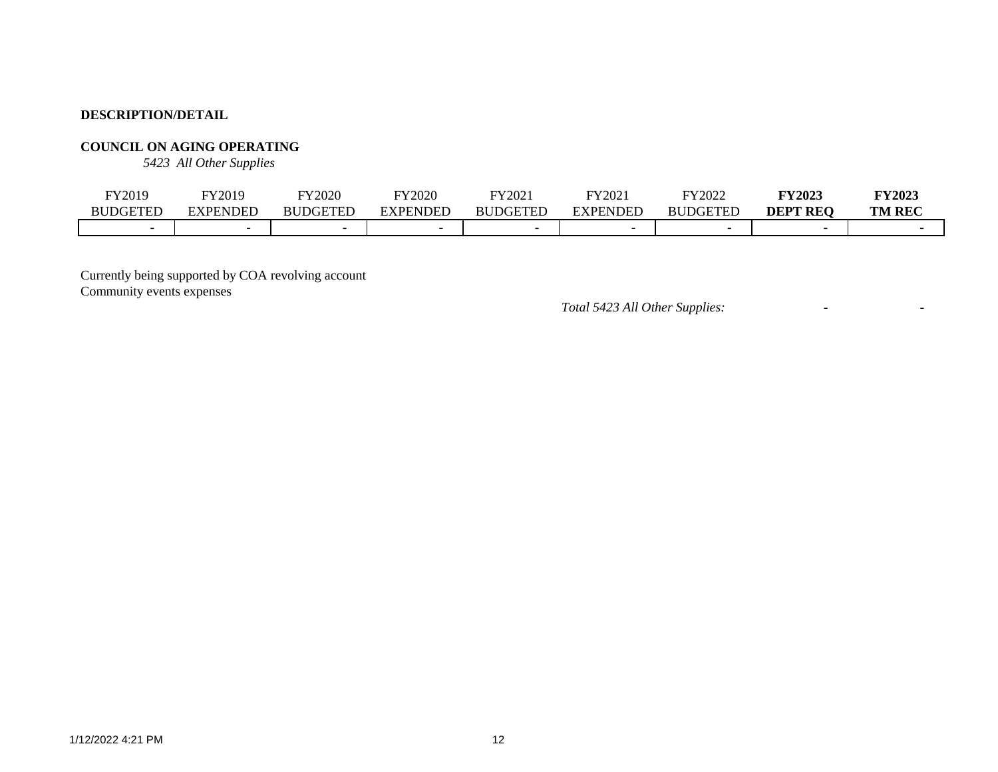## **COUNCIL ON AGING OPERATING**

*5423 All Other Supplies*

| FY2019          | FY2019                   | <b>FY2020</b>   | <b>FY2020</b> | FY2021          | FY2021          | FY2022          | <b>FY2023</b> | <b>FY2023</b> |
|-----------------|--------------------------|-----------------|---------------|-----------------|-----------------|-----------------|---------------|---------------|
| <b>BUDGETEL</b> | <b>EXPENDED</b>          | <b>BUDGETED</b> | EXPENDED      | <b>BUDGETED</b> | <b>EXPENDED</b> | <b>BUDGETED</b> | DEPT<br>' REC | <b>TM REC</b> |
|                 | $\overline{\phantom{0}}$ |                 |               |                 |                 |                 |               |               |

Currently being supported by COA revolving account Community events expenses

*Total 5423 All Other Supplies:* - -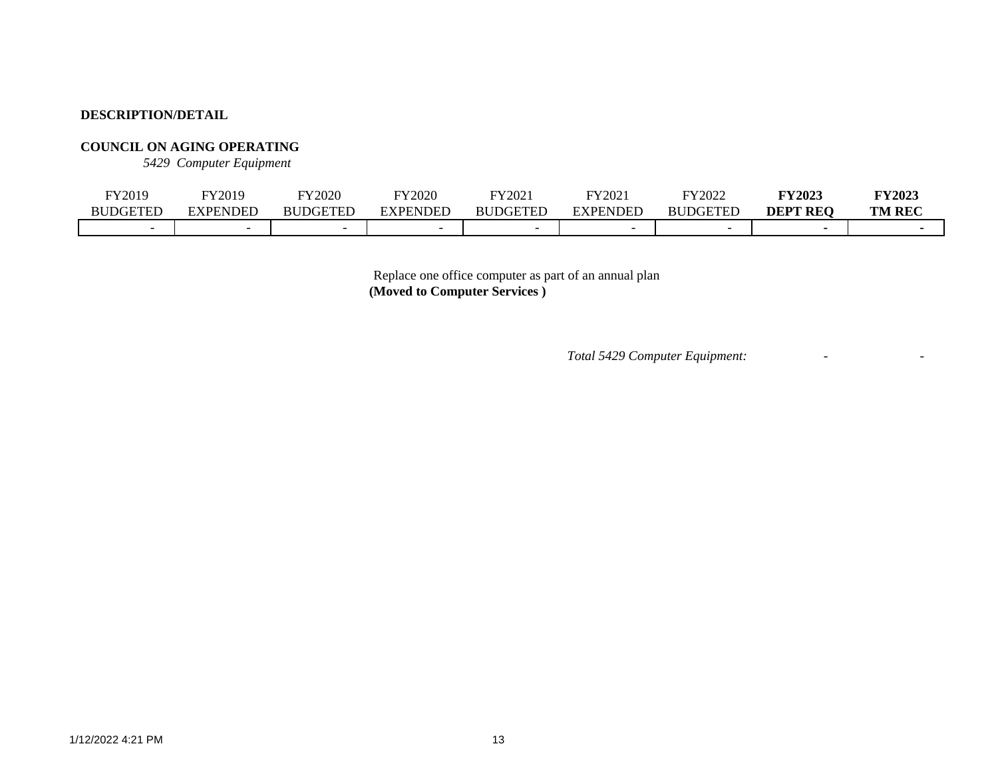## **COUNCIL ON AGING OPERATING**

*5429 Computer Equipment*

| FY2019          | FY2019   | FY2020          | FY2020                   | FY2021          | FY2021          | FY2022                   | <b>FY2023</b>   | <b>FY2023</b> |
|-----------------|----------|-----------------|--------------------------|-----------------|-----------------|--------------------------|-----------------|---------------|
| <b>BUDGETED</b> | EXPENDED | <b>BUDGETED</b> | ENDEE                    | <b>RUDGETED</b> | <b>EXPENDED</b> | <b>JDGETFT</b><br>BU     | <b>DEPT REQ</b> | <b>TM REC</b> |
|                 |          |                 | $\overline{\phantom{0}}$ |                 |                 | $\overline{\phantom{0}}$ |                 |               |

Replace one office computer as part of an annual plan **(Moved to Computer Services )**

*Total 5429 Computer Equipment:* - -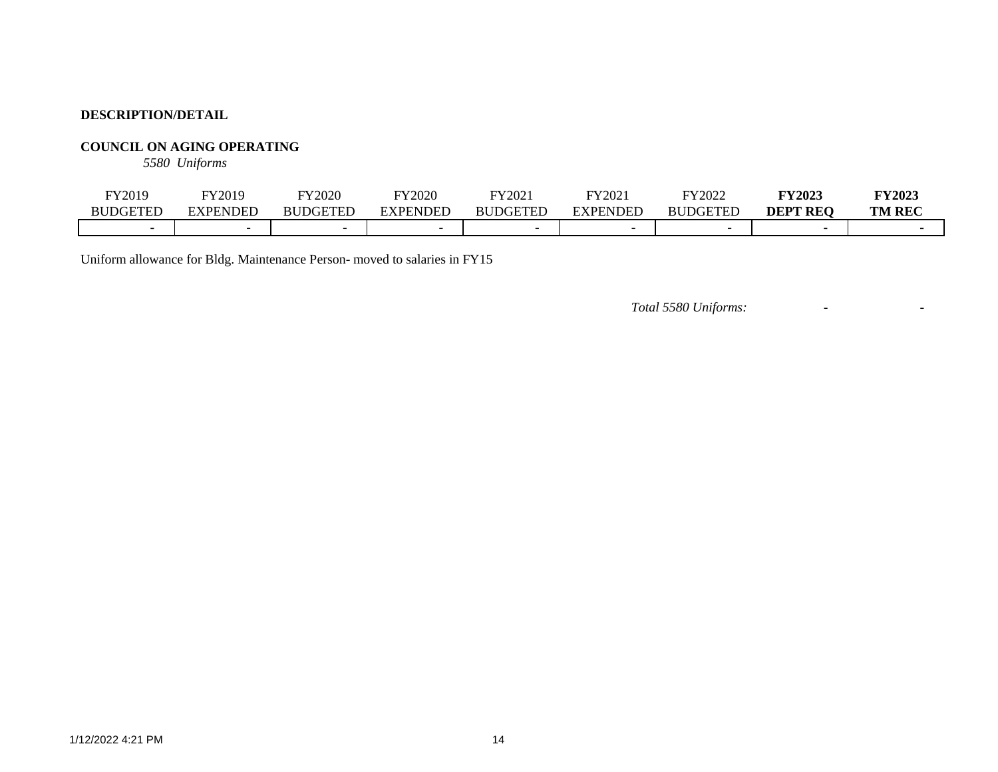## **COUNCIL ON AGING OPERATING**

*5580 Uniforms*

| FY2019          | FY2019                   | <b>FY2020</b>   | FY2020   | FY2021          | FY2021          | FY2022          | <b>FY2023</b>   | <b>FY2023</b> |
|-----------------|--------------------------|-----------------|----------|-----------------|-----------------|-----------------|-----------------|---------------|
| <b>BUDGETEL</b> | <b>EXPENDED</b>          | <b>BUDGETED</b> | EXPENDED | <b>BUDGETED</b> | <b>EXPENDED</b> | <b>BUDGETED</b> | <b>DEPT REO</b> | <b>TM REC</b> |
|                 | $\overline{\phantom{0}}$ |                 |          |                 |                 |                 |                 |               |

Uniform allowance for Bldg. Maintenance Person- moved to salaries in FY15

*Total 5580 Uniforms:* - -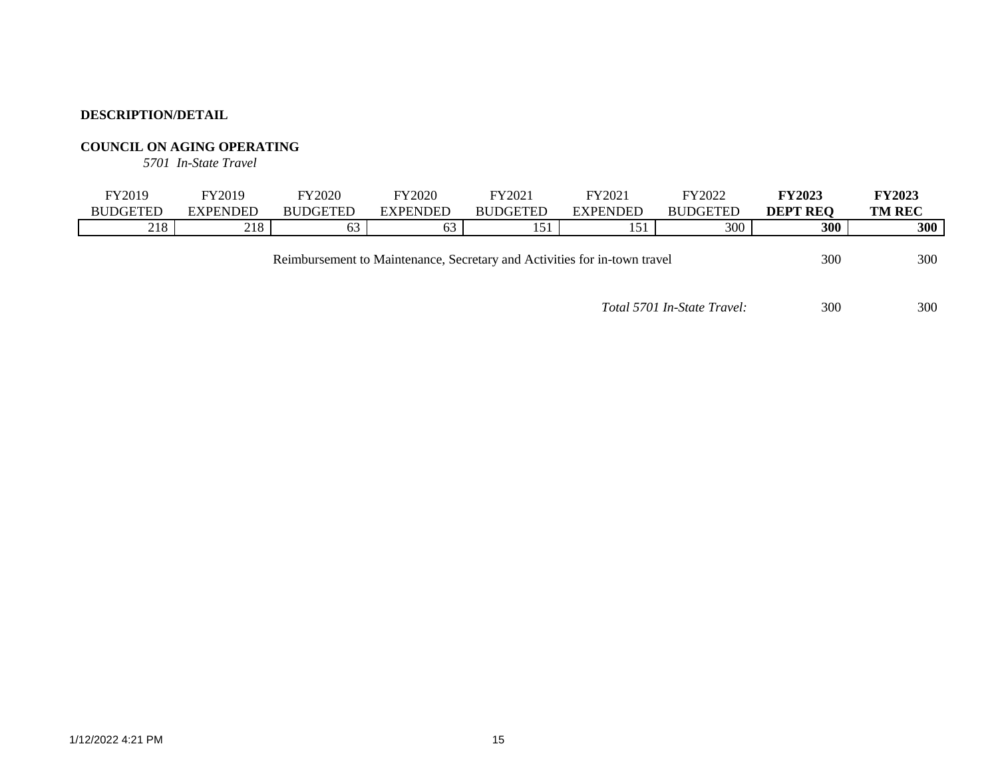## **COUNCIL ON AGING OPERATING**

*5701 In-State Travel*

| FY2019          | FY2019   | FY2020          | FY2020   | FY2021          | FY2021          | FY2022          | <b>FY2023</b>   | <b>TY2023</b> |
|-----------------|----------|-----------------|----------|-----------------|-----------------|-----------------|-----------------|---------------|
| <b>BUDGETED</b> | EXPENDED | <b>BUDGETED</b> | EXPENDED | <b>BUDGETED</b> | <b>EXPENDED</b> | <b>BUDGETED</b> | <b>DEPT REO</b> | <b>TM REC</b> |
| 218             | 218      | OQ              | ╭<br>ხპ  | 51<br>1 J 1     | 151             | 300             | 300             | 300           |
|                 |          |                 |          |                 |                 |                 |                 |               |

Reimbursement to Maintenance, Secretary and Activities for in-town travel 300 300 300

*Total 5701 In-State Travel:* 300 300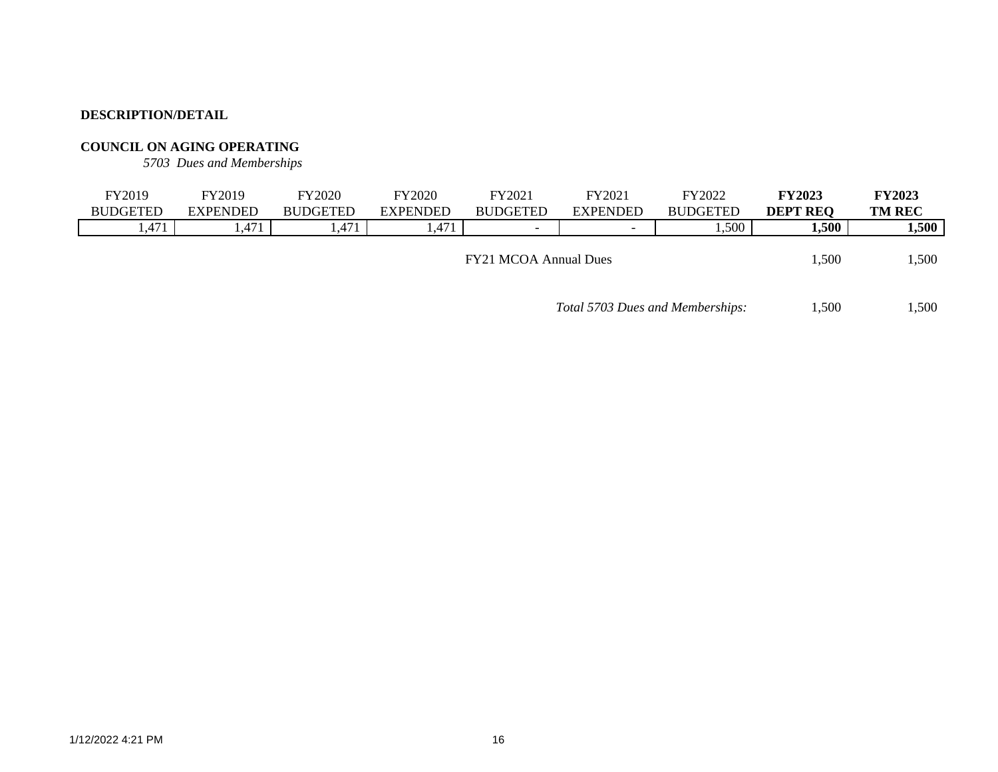## **COUNCIL ON AGING OPERATING**

*5703 Dues and Memberships*

| FY2019                       | Y2019           | FY2020          | FY2020          | FY2021                   | FY2021                   | FY2022          | <b>FY2023</b>   | <b>FY2023</b> |
|------------------------------|-----------------|-----------------|-----------------|--------------------------|--------------------------|-----------------|-----------------|---------------|
| <b>BUDGETED</b>              | <b>EXPENDED</b> | <b>BUDGETED</b> | <b>EXPENDED</b> | <b>BUDGETED</b>          | <b>EXPENDED</b>          | <b>BUDGETED</b> | <b>DEPT REO</b> | <b>TM REC</b> |
| l.471                        | 1,471           | .47             | ,471            | $\overline{\phantom{0}}$ | $\overline{\phantom{0}}$ | .500            | 1,500           | 1,500         |
|                              |                 |                 |                 |                          |                          |                 |                 |               |
| <b>FY21 MCOA Annual Dues</b> |                 |                 |                 |                          |                          |                 | 1,500           | ,500          |

*Total 5703 Dues and Memberships:* 1,500 1,500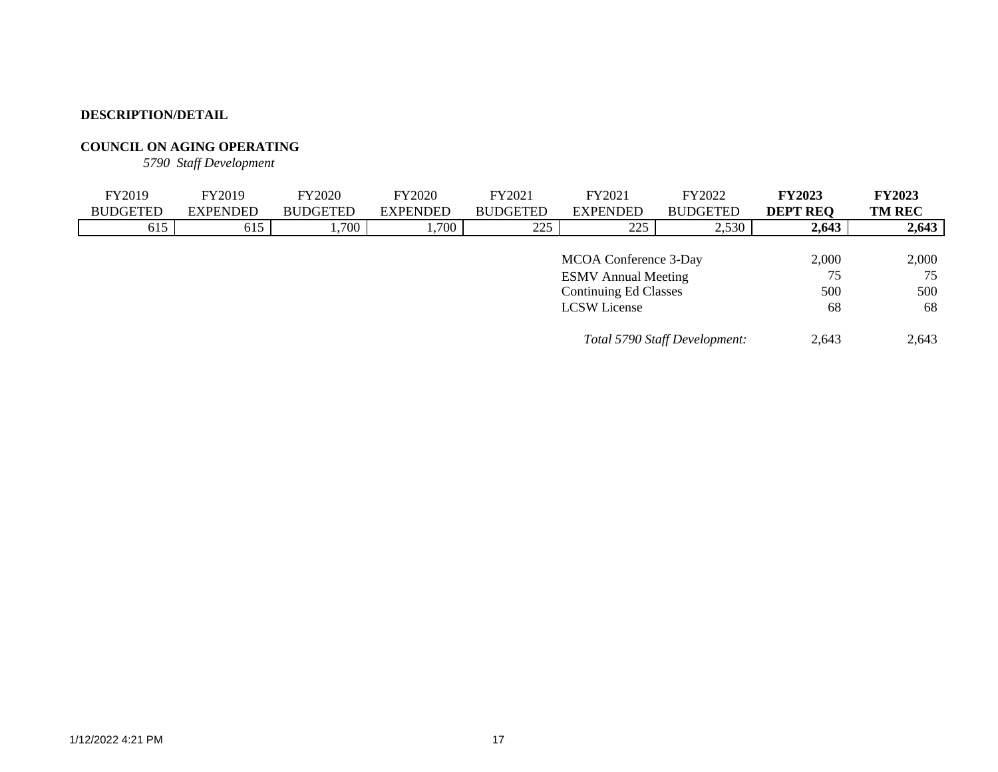## **COUNCIL ON AGING OPERATING**

*5790 Staff Development*

| FY2019          | FY2019          | <b>FY2020</b>   | <b>FY2020</b>   | FY2021              | FY2021                       | FY2022                        | <b>FY2023</b>   | <b>FY2023</b> |
|-----------------|-----------------|-----------------|-----------------|---------------------|------------------------------|-------------------------------|-----------------|---------------|
| <b>BUDGETED</b> | <b>EXPENDED</b> | <b>BUDGETED</b> | <b>EXPENDED</b> | <b>BUDGETED</b>     | <b>EXPENDED</b>              | <b>BUDGETED</b>               | <b>DEPT REQ</b> | <b>TM REC</b> |
| 615             | 615             | 1,700           | 1,700           | 225                 | 225                          | 2,530                         | 2,643           | 2,643         |
|                 |                 |                 |                 |                     |                              |                               |                 |               |
|                 |                 |                 |                 |                     | MCOA Conference 3-Day        |                               | 2,000           | 2,000         |
|                 |                 |                 |                 |                     | <b>ESMV</b> Annual Meeting   |                               | 75              | 75            |
|                 |                 |                 |                 |                     | <b>Continuing Ed Classes</b> |                               | 500             | 500           |
|                 |                 |                 |                 | <b>LCSW</b> License | 68                           | 68                            |                 |               |
|                 |                 |                 |                 |                     |                              | Total 5790 Staff Development: | 2.643           | 2,643         |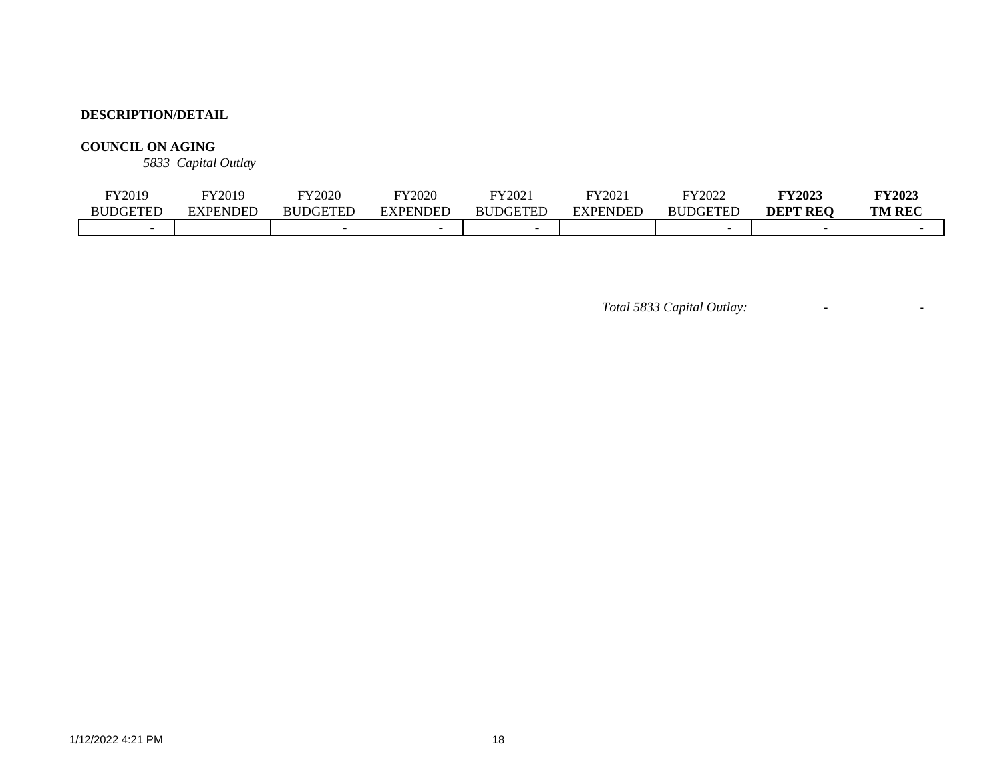## **COUNCIL ON AGING**

*5833 Capital Outlay*

| <sup>-</sup> Y2019 | Y2019           | FY2020          | <b>FY2020</b> | FY202.      | FY2021   | FY2022          | <b>FY2023</b>   | <b>FY2023</b> |
|--------------------|-----------------|-----------------|---------------|-------------|----------|-----------------|-----------------|---------------|
| <b>BUDGETED</b>    | <b>EXPENDED</b> | <b>BUDGETED</b> | EXPENDED      | DGETED<br>B | EXPENDED | <b>BUDGETED</b> | <b>DEPT REO</b> | <b>TM REC</b> |
|                    |                 |                 |               |             |          |                 |                 |               |

*Total 5833 Capital Outlay:* - -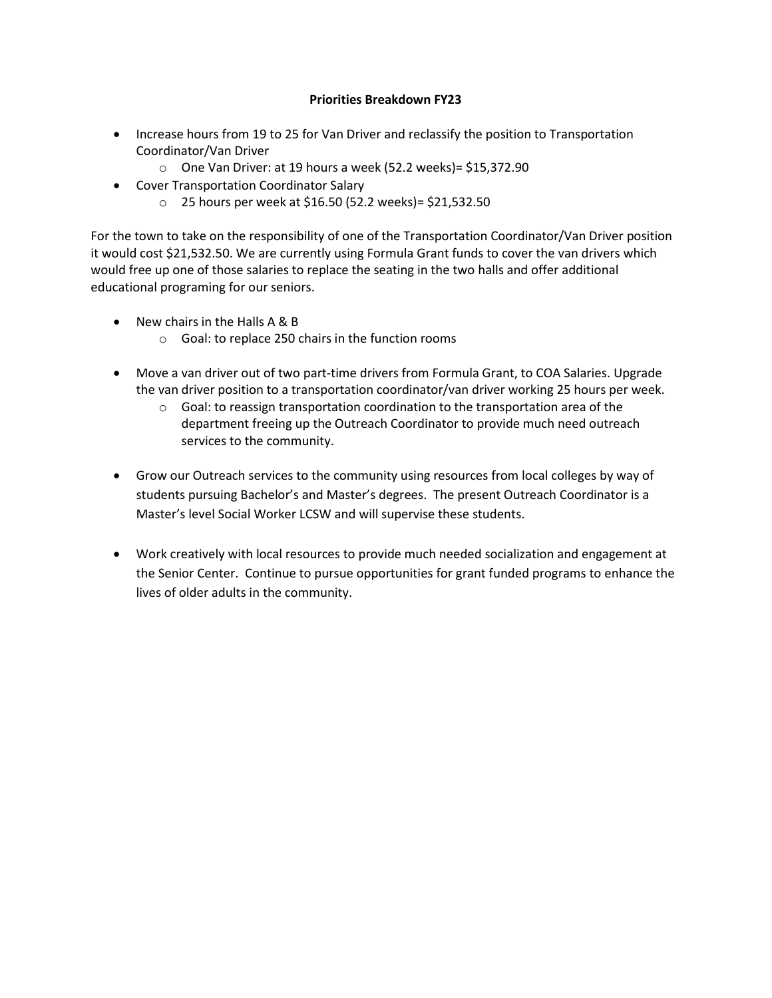### **Priorities Breakdown FY23**

- Increase hours from 19 to 25 for Van Driver and reclassify the position to Transportation Coordinator/Van Driver
	- o One Van Driver: at 19 hours a week (52.2 weeks)= \$15,372.90
- Cover Transportation Coordinator Salary
	- o 25 hours per week at \$16.50 (52.2 weeks)= \$21,532.50

For the town to take on the responsibility of one of the Transportation Coordinator/Van Driver position it would cost \$21,532.50. We are currently using Formula Grant funds to cover the van drivers which would free up one of those salaries to replace the seating in the two halls and offer additional educational programing for our seniors.

- New chairs in the Halls A & B
	- o Goal: to replace 250 chairs in the function rooms
- Move a van driver out of two part-time drivers from Formula Grant, to COA Salaries. Upgrade the van driver position to a transportation coordinator/van driver working 25 hours per week.
	- $\circ$  Goal: to reassign transportation coordination to the transportation area of the department freeing up the Outreach Coordinator to provide much need outreach services to the community.
- Grow our Outreach services to the community using resources from local colleges by way of students pursuing Bachelor's and Master's degrees. The present Outreach Coordinator is a Master's level Social Worker LCSW and will supervise these students.
- Work creatively with local resources to provide much needed socialization and engagement at the Senior Center. Continue to pursue opportunities for grant funded programs to enhance the lives of older adults in the community.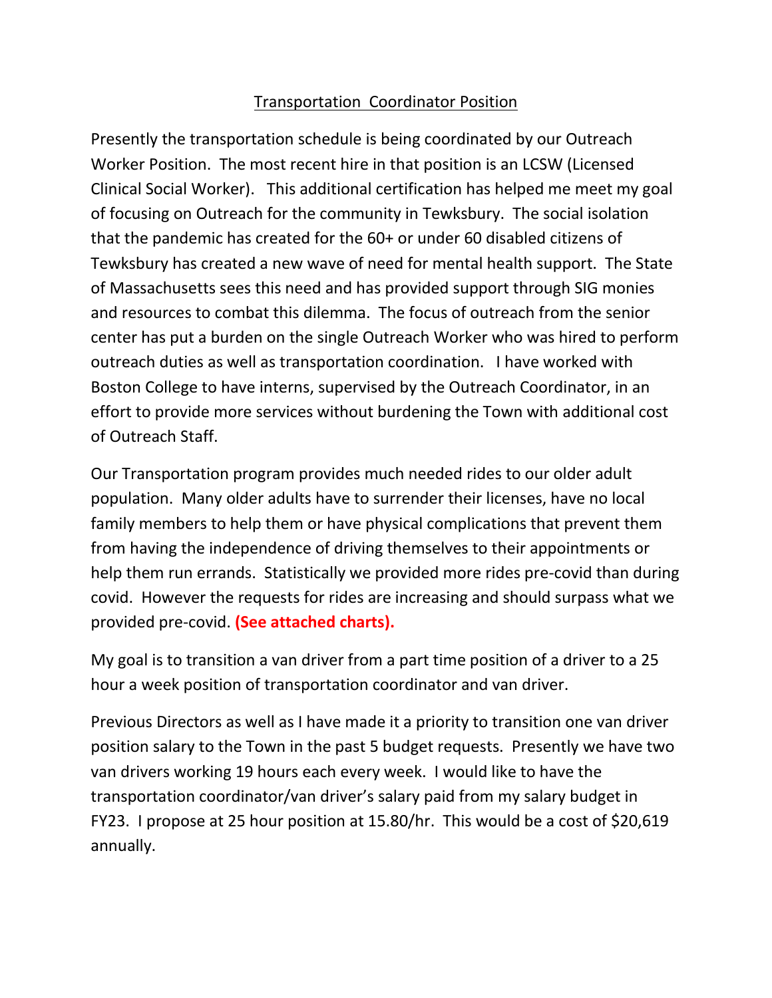# Transportation Coordinator Position

Presently the transportation schedule is being coordinated by our Outreach Worker Position. The most recent hire in that position is an LCSW (Licensed Clinical Social Worker). This additional certification has helped me meet my goal of focusing on Outreach for the community in Tewksbury. The social isolation that the pandemic has created for the 60+ or under 60 disabled citizens of Tewksbury has created a new wave of need for mental health support. The State of Massachusetts sees this need and has provided support through SIG monies and resources to combat this dilemma. The focus of outreach from the senior center has put a burden on the single Outreach Worker who was hired to perform outreach duties as well as transportation coordination. I have worked with Boston College to have interns, supervised by the Outreach Coordinator, in an effort to provide more services without burdening the Town with additional cost of Outreach Staff.

Our Transportation program provides much needed rides to our older adult population. Many older adults have to surrender their licenses, have no local family members to help them or have physical complications that prevent them from having the independence of driving themselves to their appointments or help them run errands. Statistically we provided more rides pre-covid than during covid. However the requests for rides are increasing and should surpass what we provided pre-covid. **(See attached charts).** 

My goal is to transition a van driver from a part time position of a driver to a 25 hour a week position of transportation coordinator and van driver.

Previous Directors as well as I have made it a priority to transition one van driver position salary to the Town in the past 5 budget requests. Presently we have two van drivers working 19 hours each every week. I would like to have the transportation coordinator/van driver's salary paid from my salary budget in FY23. I propose at 25 hour position at 15.80/hr. This would be a cost of \$20,619 annually.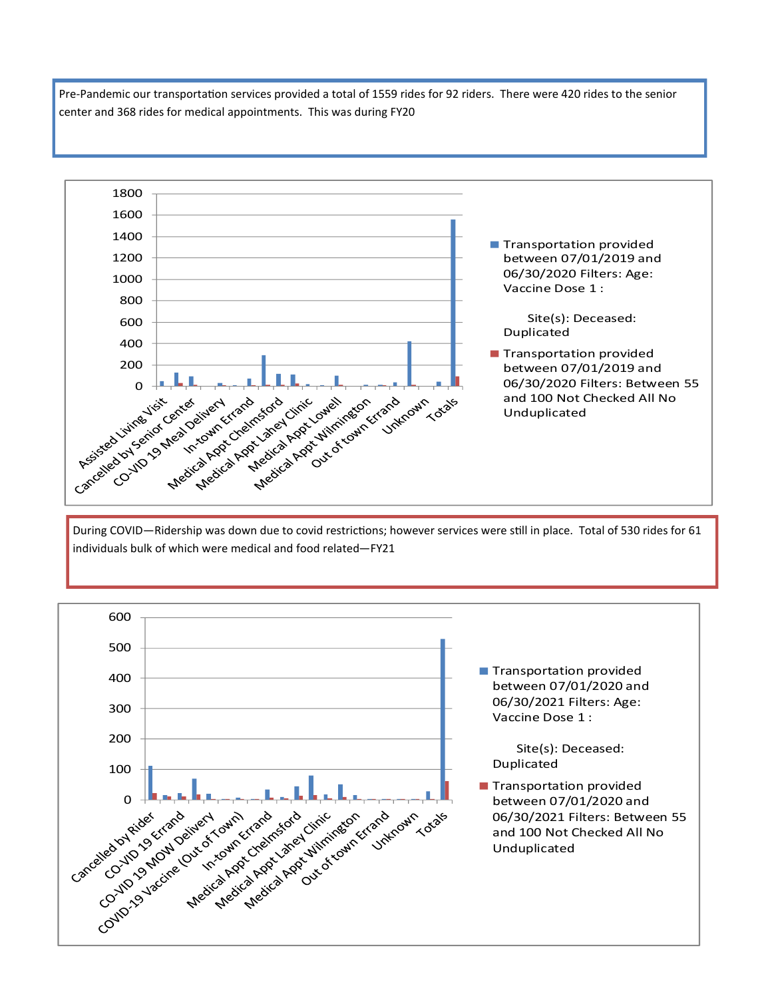Pre-Pandemic our transportation services provided a total of 1559 rides for 92 riders. There were 420 rides to the senior center and 368 rides for medical appointments. This was during FY20



During COVID—Ridership was down due to covid restrictions; however services were still in place. Total of 530 rides for 61 individuals bulk of which were medical and food related—FY21